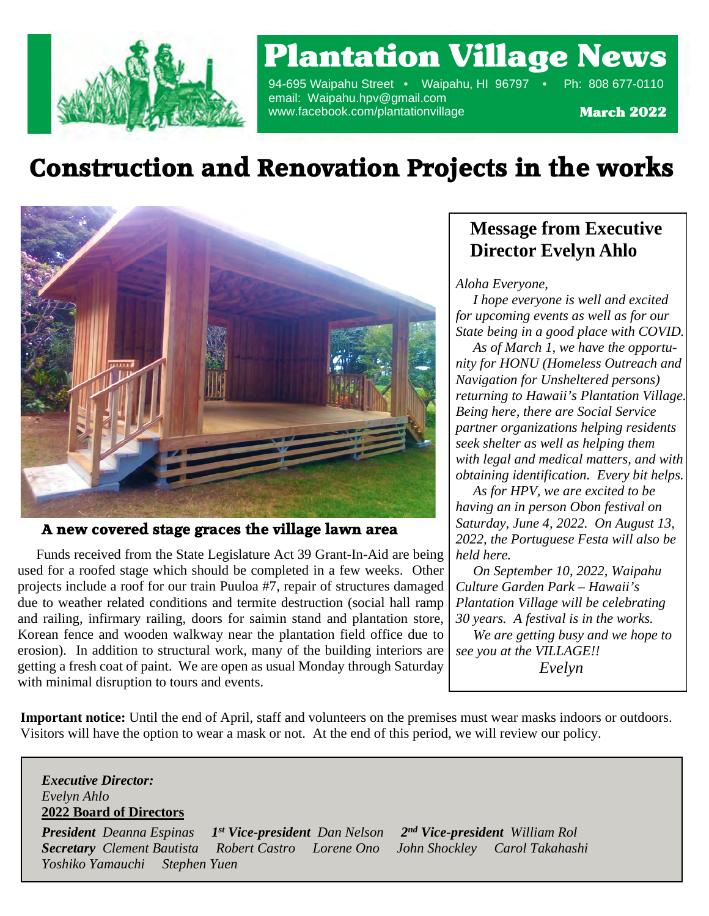

### Plantation Village News

94-695 Waipahu Street • Waipahu, HI 96797 • Ph: 808 677-0110 email: Waipahu.hpv@gmail.com www.facebook.com/plantationvillage

March 2022

### **Construction and Renovation Projects in the works**



**A new covered stage graces the village lawn area**

erosion). In addition to structural work, many of the building interiors are equal to the building interiors are equal to  $\frac{1}{2}$  Funds received from the State Legislature Act 39 Grant-In-Aid are being used for a roofed stage which should be completed in a few weeks. Other projects include a roof for our train Puuloa #7, repair of structures damaged due to weather related conditions and termite destruction (social hall ramp and railing, infirmary railing, doors for saimin stand and plantation store, Korean fence and wooden walkway near the plantation field office due to getting a fresh coat of paint. We are open as usual Monday through Saturday with minimal disruption to tours and events.

### **Message from Executive Director Evelyn Ahlo**

### *Aloha Everyone,*

 *I hope everyone is well and excited for upcoming events as well as for our State being in a good place with COVID.*

 *As of March 1, we have the opportunity for HONU (Homeless Outreach and Navigation for Unsheltered persons) returning to Hawaii's Plantation Village. Being here, there are Social Service partner organizations helping residents seek shelter as well as helping them with legal and medical matters, and with obtaining identification. Every bit helps.*

*Portuguese house having an in person Obon festival on As for HPV, we are excited to be Saturday, June 4, 2022. On August 13, 2022, the Portuguese Festa will also be held here.*

 *On September 10, 2022, Waipahu Culture Garden Park – Hawaii's Plantation Village will be celebrating 30 years. A festival is in the works.*

 *We are getting busy and we hope to see you at the VILLAGE!! Evelyn*

 **Important notice:** Until the end of April, staff and volunteers on the premises must wear masks indoors or outdoors. Visitors will have the option to wear a mask or not. At the end of this period, we will review our policy.

### *Executive Director: Evelyn Ahlo* **2022 Board of Directors**

*President Deanna Espinas 1 st Vice-president Dan Nelson 2 nd Vice-president William Rol Secretary Clement Bautista Robert Castro Lorene Ono John Shockley Carol Takahashi Yoshiko Yamauchi Stephen Yuen*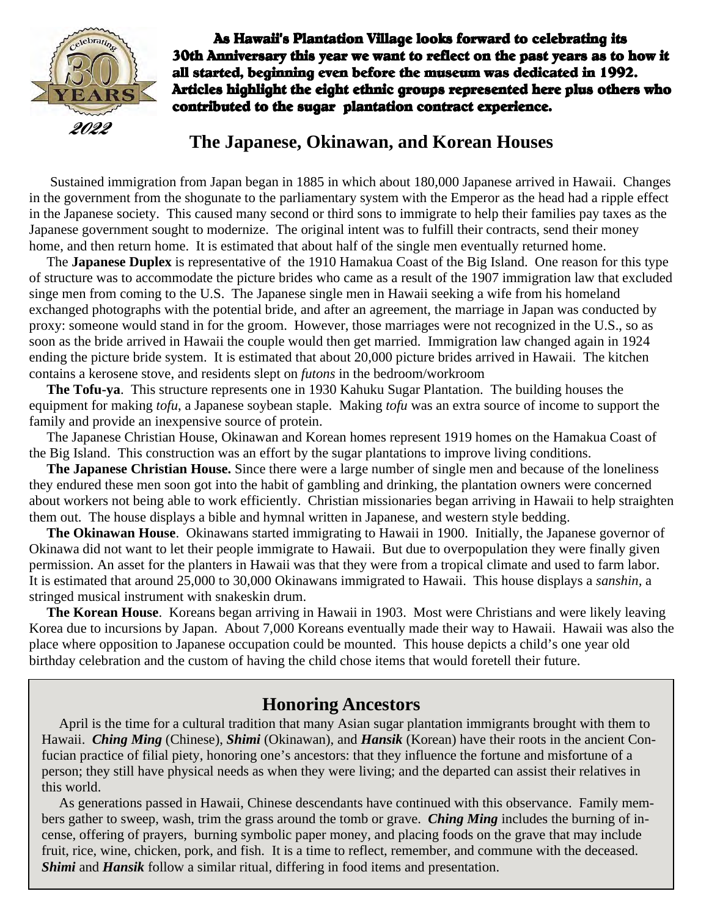

As Hawaii's Plantation Village looks forward to celebrating its 30th Anniversary this year we want to reflect on the past years as to how it all started, beginning even before the museum was dedicated in 1992. Articles highlight the eight ethnic groups represented here plus others who contributed to the sugar plantation contract experience.

### **The Japanese, Okinawan, and Korean Houses**

 Sustained immigration from Japan began in 1885 in which about 180,000 Japanese arrived in Hawaii. Changes in the government from the shogunate to the parliamentary system with the Emperor as the head had a ripple effect in the Japanese society. This caused many second or third sons to immigrate to help their families pay taxes as the Japanese government sought to modernize. The original intent was to fulfill their contracts, send their money home, and then return home. It is estimated that about half of the single men eventually returned home.

 The **Japanese Duplex** is representative of the 1910 Hamakua Coast of the Big Island. One reason for this type of structure was to accommodate the picture brides who came as a result of the 1907 immigration law that excluded singe men from coming to the U.S. The Japanese single men in Hawaii seeking a wife from his homeland exchanged photographs with the potential bride, and after an agreement, the marriage in Japan was conducted by proxy: someone would stand in for the groom. However, those marriages were not recognized in the U.S., so as soon as the bride arrived in Hawaii the couple would then get married. Immigration law changed again in 1924 ending the picture bride system. It is estimated that about 20,000 picture brides arrived in Hawaii. The kitchen contains a kerosene stove, and residents slept on *futons* in the bedroom/workroom

 **The Tofu-ya**. This structure represents one in 1930 Kahuku Sugar Plantation. The building houses the equipment for making *tofu*, a Japanese soybean staple. Making *tofu* was an extra source of income to support the family and provide an inexpensive source of protein.

 The Japanese Christian House, Okinawan and Korean homes represent 1919 homes on the Hamakua Coast of the Big Island. This construction was an effort by the sugar plantations to improve living conditions.

 **The Japanese Christian House.** Since there were a large number of single men and because of the loneliness they endured these men soon got into the habit of gambling and drinking, the plantation owners were concerned about workers not being able to work efficiently. Christian missionaries began arriving in Hawaii to help straighten them out. The house displays a bible and hymnal written in Japanese, and western style bedding.

 **The Okinawan House**. Okinawans started immigrating to Hawaii in 1900. Initially, the Japanese governor of Okinawa did not want to let their people immigrate to Hawaii. But due to overpopulation they were finally given permission. An asset for the planters in Hawaii was that they were from a tropical climate and used to farm labor. It is estimated that around 25,000 to 30,000 Okinawans immigrated to Hawaii. This house displays a *sanshin,* a stringed musical instrument with snakeskin drum.

 **The Korean House**. Koreans began arriving in Hawaii in 1903. Most were Christians and were likely leaving Korea due to incursions by Japan. About 7,000 Koreans eventually made their way to Hawaii. Hawaii was also the place where opposition to Japanese occupation could be mounted. This house depicts a child's one year old birthday celebration and the custom of having the child chose items that would foretell their future.

### **Honoring Ancestors**

 April is the time for a cultural tradition that many Asian sugar plantation immigrants brought with them to Hawaii. *Ching Ming* (Chinese), *Shimi* (Okinawan), and *Hansik* (Korean) have their roots in the ancient Confucian practice of filial piety, honoring one's ancestors: that they influence the fortune and misfortune of a person; they still have physical needs as when they were living; and the departed can assist their relatives in this world.

 As generations passed in Hawaii, Chinese descendants have continued with this observance. Family members gather to sweep, wash, trim the grass around the tomb or grave. *Ching Ming* includes the burning of incense, offering of prayers, burning symbolic paper money, and placing foods on the grave that may include fruit, rice, wine, chicken, pork, and fish. It is a time to reflect, remember, and commune with the deceased. *Shimi* and *Hansik* follow a similar ritual, differing in food items and presentation.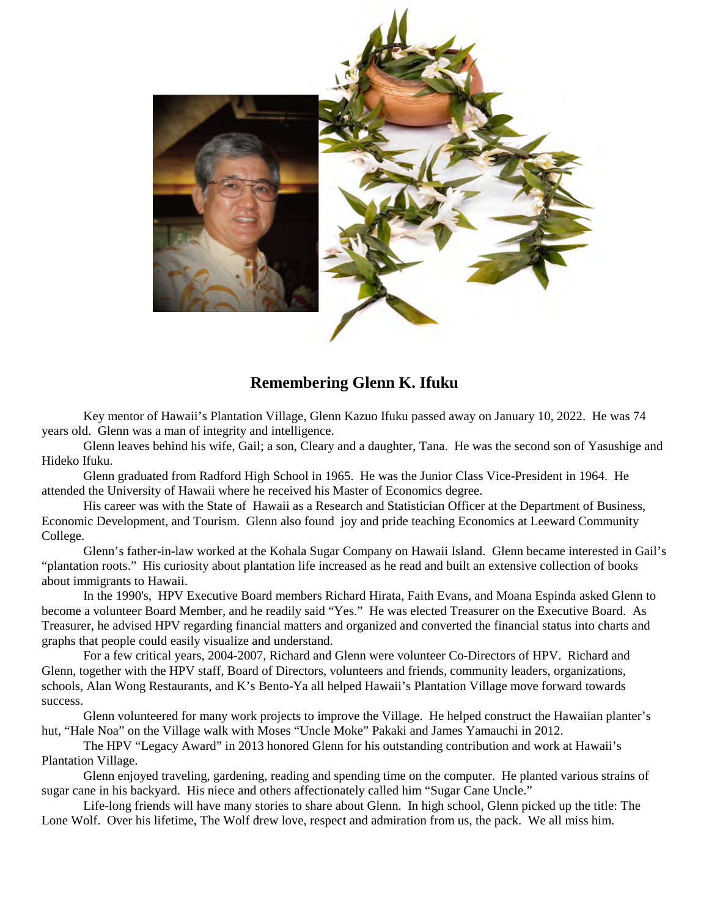

### **Remembering Glenn K. Ifuku**

Key mentor of Hawaii's Plantation Village, Glenn Kazuo Ifuku passed away on January 10, 2022. He was 74 years old. Glenn was a man of integrity and intelligence.

Glenn leaves behind his wife, Gail; a son, Cleary and a daughter, Tana. He was the second son of Yasushige and Hideko Ifuku.

Glenn graduated from Radford High School in 1965. He was the Junior Class Vice-President in 1964. He attended the University of Hawaii where he received his Master of Economics degree.

His career was with the State of Hawaii as a Research and Statistician Officer at the Department of Business, Economic Development, and Tourism. Glenn also found joy and pride teaching Economics at Leeward Community College.

Glenn's father-in-law worked at the Kohala Sugar Company on Hawaii Island. Glenn became interested in Gail's "plantation roots." His curiosity about plantation life increased as he read and built an extensive collection of books about immigrants to Hawaii.

In the 1990's, HPV Executive Board members Richard Hirata, Faith Evans, and Moana Espinda asked Glenn to become a volunteer Board Member, and he readily said "Yes." He was elected Treasurer on the Executive Board. As Treasurer, he advised HPV regarding financial matters and organized and converted the financial status into charts and graphs that people could easily visualize and understand.

For a few critical years, 2004-2007, Richard and Glenn were volunteer Co-Directors of HPV. Richard and Glenn, together with the HPV staff, Board of Directors, volunteers and friends, community leaders, organizations, schools, Alan Wong Restaurants, and K's Bento-Ya all helped Hawaii's Plantation Village move forward towards success.

Glenn volunteered for many work projects to improve the Village. He helped construct the Hawaiian planter's hut, "Hale Noa" on the Village walk with Moses "Uncle Moke" Pakaki and James Yamauchi in 2012.

The HPV "Legacy Award" in 2013 honored Glenn for his outstanding contribution and work at Hawaii's Plantation Village.

Glenn enjoyed traveling, gardening, reading and spending time on the computer. He planted various strains of sugar cane in his backyard. His niece and others affectionately called him "Sugar Cane Uncle."

Life-long friends will have many stories to share about Glenn. In high school, Glenn picked up the title: The Lone Wolf. Over his lifetime, The Wolf drew love, respect and admiration from us, the pack. We all miss him.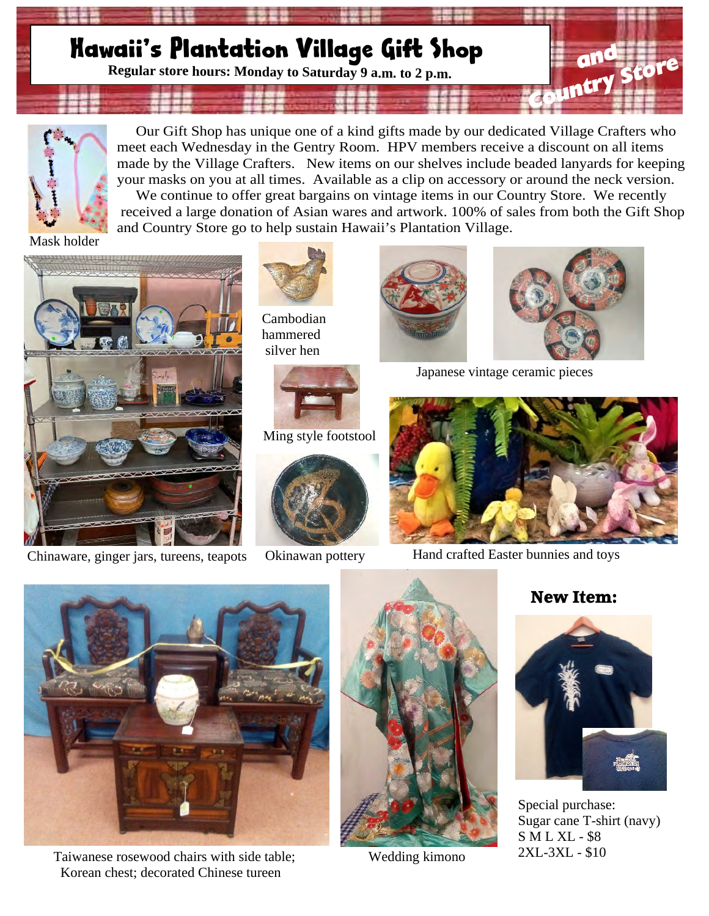### **Mawaii's Plantation Village Gift Shop Regular store hours: Monday to Saturday 9 a.m. to 2 p.m.** *Country Store*



 Our Gift Shop has unique one of a kind gifts made by our dedicated Village Crafters who meet each Wednesday in the Gentry Room. HPV members receive a discount on all items made by the Village Crafters. New items on our shelves include beaded lanyards for keeping your masks on you at all times. Available as a clip on accessory or around the neck version. We continue to offer great bargains on vintage items in our Country Store. We recently received a large donation of Asian wares and artwork. 100% of sales from both the Gift Shop and Country Store go to help sustain Hawaii's Plantation Village.

Mask holder



Chinaware, ginger jars, tureens, teapots Okinawan pottery Hand crafted Easter bunnies and toys



Cambodian hammered silver hen



Ming style footstool



Okinawan pottery



Japanese vintage ceramic pieces





Taiwanese rosewood chairs with side table; Wedding kimono Korean chest; decorated Chinese tureen



### **New Item:**



Special purchase: Sugar cane T-shirt (navy) S M L XL - \$8 2XL-3XL - \$10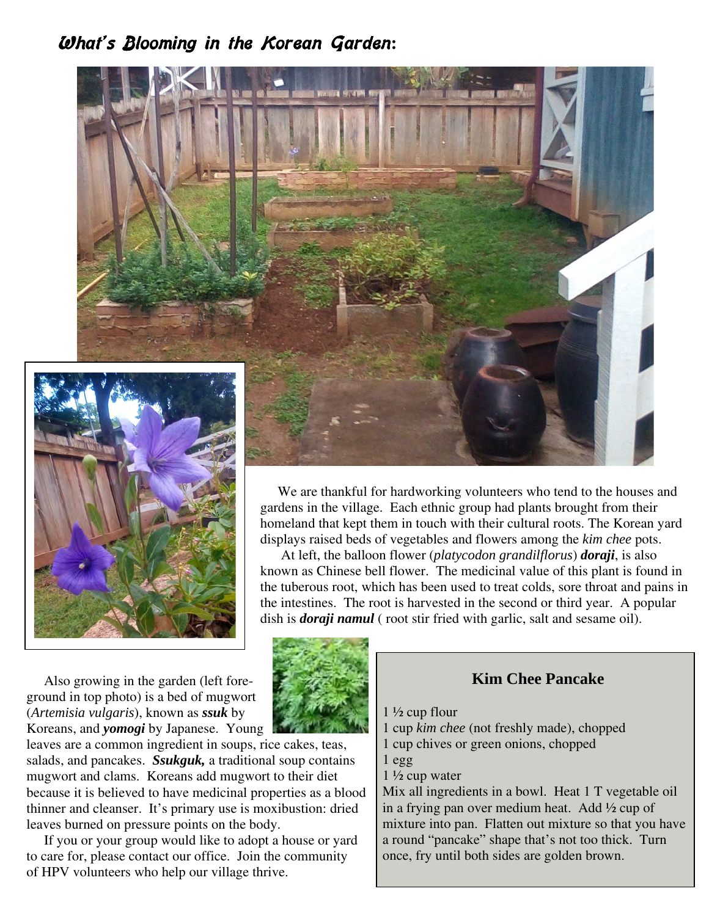### **What's Blooming in the Korean Garden:**



 We are thankful for hardworking volunteers who tend to the houses and gardens in the village. Each ethnic group had plants brought from their homeland that kept them in touch with their cultural roots. The Korean yard displays raised beds of vegetables and flowers among the *kim chee* pots.

 At left, the balloon flower (*platycodon grandilflorus*) *doraji*, is also known as Chinese bell flower. The medicinal value of this plant is found in the tuberous root, which has been used to treat colds, sore throat and pains in the intestines. The root is harvested in the second or third year. A popular dish is *doraji namul* (root stir fried with garlic, salt and sesame oil).

 Also growing in the garden (left foreground in top photo) is a bed of mugwort (*Artemisia vulgaris*), known as *ssuk* by Koreans, and *yomogi* by Japanese. Young

leaves are a common ingredient in soups, rice cakes, teas, salads, and pancakes. *Ssukguk,* a traditional soup contains mugwort and clams. Koreans add mugwort to their diet because it is believed to have medicinal properties as a blood thinner and cleanser. It's primary use is moxibustion: dried leaves burned on pressure points on the body.

 If you or your group would like to adopt a house or yard to care for, please contact our office. Join the community of HPV volunteers who help our village thrive.



### **Kim Chee Pancake**

- 1 ½ cup flour
- 1 cup *kim chee* (not freshly made), chopped
- 1 cup chives or green onions, chopped
- 1 egg
- 1 ½ cup water

Mix all ingredients in a bowl. Heat 1 T vegetable oil in a frying pan over medium heat. Add ½ cup of mixture into pan. Flatten out mixture so that you have a round "pancake" shape that's not too thick. Turn once, fry until both sides are golden brown.